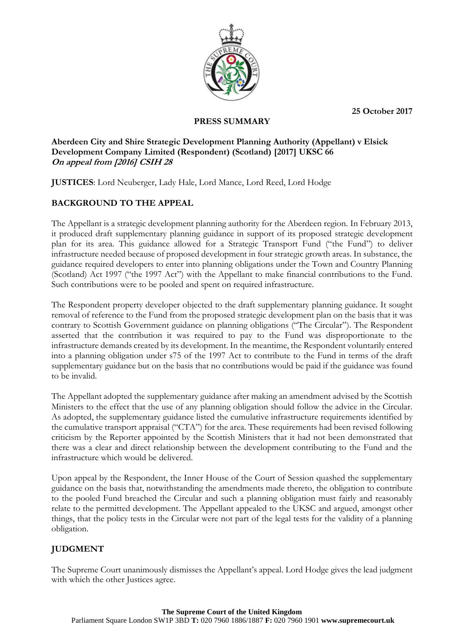**25 October 2017**



## **PRESS SUMMARY**

## **Aberdeen City and Shire Strategic Development Planning Authority (Appellant) v Elsick Development Company Limited (Respondent) (Scotland) [2017] UKSC 66 On appeal from [2016] CSIH 28**

**JUSTICES**: Lord Neuberger, Lady Hale, Lord Mance, Lord Reed, Lord Hodge

## **BACKGROUND TO THE APPEAL**

The Appellant is a strategic development planning authority for the Aberdeen region. In February 2013, it produced draft supplementary planning guidance in support of its proposed strategic development plan for its area. This guidance allowed for a Strategic Transport Fund ("the Fund") to deliver infrastructure needed because of proposed development in four strategic growth areas. In substance, the guidance required developers to enter into planning obligations under the Town and Country Planning (Scotland) Act 1997 ("the 1997 Act") with the Appellant to make financial contributions to the Fund. Such contributions were to be pooled and spent on required infrastructure.

The Respondent property developer objected to the draft supplementary planning guidance. It sought removal of reference to the Fund from the proposed strategic development plan on the basis that it was contrary to Scottish Government guidance on planning obligations ("The Circular"). The Respondent asserted that the contribution it was required to pay to the Fund was disproportionate to the infrastructure demands created by its development. In the meantime, the Respondent voluntarily entered into a planning obligation under s75 of the 1997 Act to contribute to the Fund in terms of the draft supplementary guidance but on the basis that no contributions would be paid if the guidance was found to be invalid.

The Appellant adopted the supplementary guidance after making an amendment advised by the Scottish Ministers to the effect that the use of any planning obligation should follow the advice in the Circular. As adopted, the supplementary guidance listed the cumulative infrastructure requirements identified by the cumulative transport appraisal ("CTA") for the area. These requirements had been revised following criticism by the Reporter appointed by the Scottish Ministers that it had not been demonstrated that there was a clear and direct relationship between the development contributing to the Fund and the infrastructure which would be delivered.

Upon appeal by the Respondent, the Inner House of the Court of Session quashed the supplementary guidance on the basis that, notwithstanding the amendments made thereto, the obligation to contribute to the pooled Fund breached the Circular and such a planning obligation must fairly and reasonably relate to the permitted development. The Appellant appealed to the UKSC and argued, amongst other things, that the policy tests in the Circular were not part of the legal tests for the validity of a planning obligation.

# **JUDGMENT**

The Supreme Court unanimously dismisses the Appellant's appeal. Lord Hodge gives the lead judgment with which the other Justices agree.